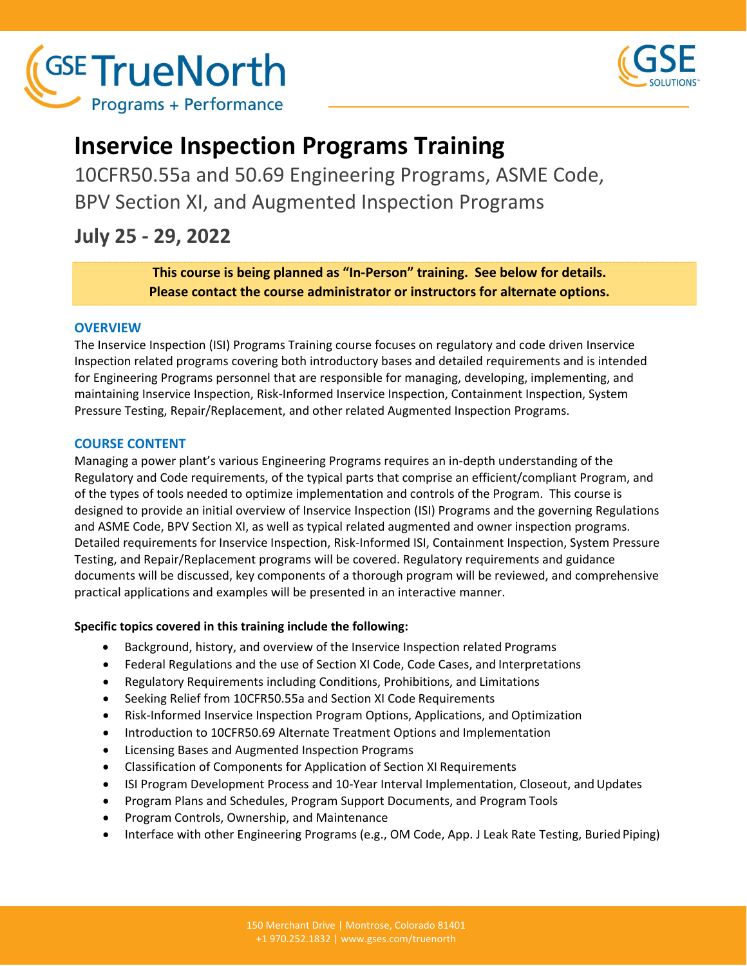



# **Inservice Inspection Programs Training**

10CFR50.55a and 50.69 Engineering Programs, ASME Code, BPV Section XI, and Augmented Inspection Programs

**July 25 ‐ 29, 2022**

**This course is being planned as "In‐Person" training. See below for details. Please contact the course administrator or instructors for alternate options.**

# **OVERVIEW**

The Inservice Inspection (ISI) Programs Training course focuses on regulatory and code driven Inservice Inspection related programs covering both introductory bases and detailed requirements and is intended for Engineering Programs personnel that are responsible for managing, developing, implementing, and maintaining Inservice Inspection, Risk‐Informed Inservice Inspection, Containment Inspection, System Pressure Testing, Repair/Replacement, and other related Augmented Inspection Programs.

# **COURSE CONTENT**

Managing a power plant's various Engineering Programs requires an in‐depth understanding of the Regulatory and Code requirements, of the typical parts that comprise an efficient/compliant Program, and of the types of tools needed to optimize implementation and controls of the Program. This course is designed to provide an initial overview of Inservice Inspection (ISI) Programs and the governing Regulations and ASME Code, BPV Section XI, as well as typical related augmented and owner inspection programs. Detailed requirements for Inservice Inspection, Risk‐Informed ISI, Containment Inspection, System Pressure Testing, and Repair/Replacement programs will be covered. Regulatory requirements and guidance documents will be discussed, key components of a thorough program will be reviewed, and comprehensive practical applications and examples will be presented in an interactive manner.

# **Specific topics covered in this training include the following:**

- Background, history, and overview of the Inservice Inspection related Programs
- Federal Regulations and the use of Section XI Code, Code Cases, and Interpretations
- Regulatory Requirements including Conditions, Prohibitions, and Limitations
- Seeking Relief from 10CFR50.55a and Section XI Code Requirements
- Risk-Informed Inservice Inspection Program Options, Applications, and Optimization
- Introduction to 10CFR50.69 Alternate Treatment Options and Implementation
- Licensing Bases and Augmented Inspection Programs
- Classification of Components for Application of Section XI Requirements
- ISI Program Development Process and 10-Year Interval Implementation, Closeout, and Updates
- Program Plans and Schedules, Program Support Documents, and Program Tools
- Program Controls, Ownership, and Maintenance
- Interface with other Engineering Programs (e.g., OM Code, App. J Leak Rate Testing, Buried Piping)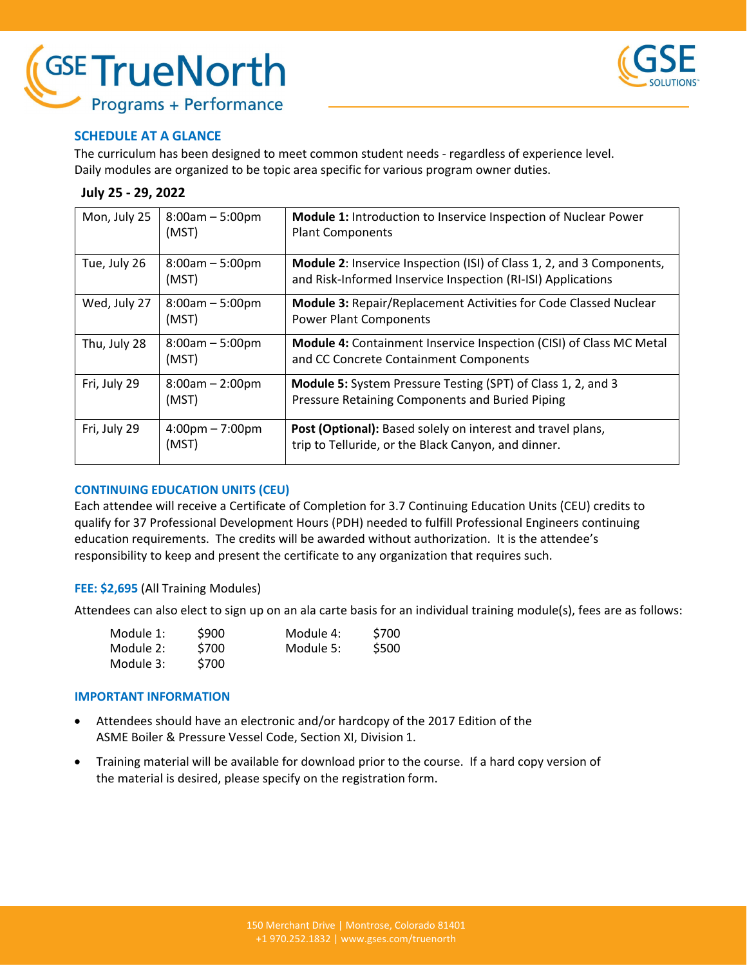



## **SCHEDULE AT A GLANCE**

The curriculum has been designed to meet common student needs ‐ regardless of experience level. Daily modules are organized to be topic area specific for various program owner duties.

#### **July 25 ‐ 29, 2022**

| Mon, July 25 | $8:00am - 5:00pm$<br>(MST)                 | <b>Module 1: Introduction to Inservice Inspection of Nuclear Power</b><br><b>Plant Components</b>                                            |
|--------------|--------------------------------------------|----------------------------------------------------------------------------------------------------------------------------------------------|
| Tue, July 26 | $8:00am - 5:00pm$<br>(MST)                 | <b>Module 2:</b> Inservice Inspection (ISI) of Class 1, 2, and 3 Components,<br>and Risk-Informed Inservice Inspection (RI-ISI) Applications |
| Wed, July 27 | $8:00am - 5:00pm$<br>(MST)                 | <b>Module 3: Repair/Replacement Activities for Code Classed Nuclear</b><br><b>Power Plant Components</b>                                     |
| Thu, July 28 | $8:00am - 5:00pm$<br>(MST)                 | <b>Module 4:</b> Containment Inservice Inspection (CISI) of Class MC Metal<br>and CC Concrete Containment Components                         |
| Fri, July 29 | $8:00am - 2:00pm$<br>(MST)                 | <b>Module 5:</b> System Pressure Testing (SPT) of Class 1, 2, and 3<br>Pressure Retaining Components and Buried Piping                       |
| Fri, July 29 | $4:00 \text{pm} - 7:00 \text{pm}$<br>(MST) | Post (Optional): Based solely on interest and travel plans,<br>trip to Telluride, or the Black Canyon, and dinner.                           |

#### **CONTINUING EDUCATION UNITS (CEU)**

Each attendee will receive a Certificate of Completion for 3.7 Continuing Education Units (CEU) credits to qualify for 37 Professional Development Hours (PDH) needed to fulfill Professional Engineers continuing education requirements. The credits will be awarded without authorization. It is the attendee's responsibility to keep and present the certificate to any organization that requires such.

#### **FEE: \$2,695** (All Training Modules)

Attendees can also elect to sign up on an ala carte basis for an individual training module(s), fees are as follows:

| Module 1: | \$900 | Module 4: | \$700 |
|-----------|-------|-----------|-------|
| Module 2: | \$700 | Module 5: | \$500 |
| Module 3: | S700  |           |       |

#### **IMPORTANT INFORMATION**

- Attendees should have an electronic and/or hardcopy of the 2017 Edition of the ASME Boiler & Pressure Vessel Code, Section XI, Division 1.
- Training material will be available for download prior to the course. If a hard copy version of the material is desired, please specify on the registration form.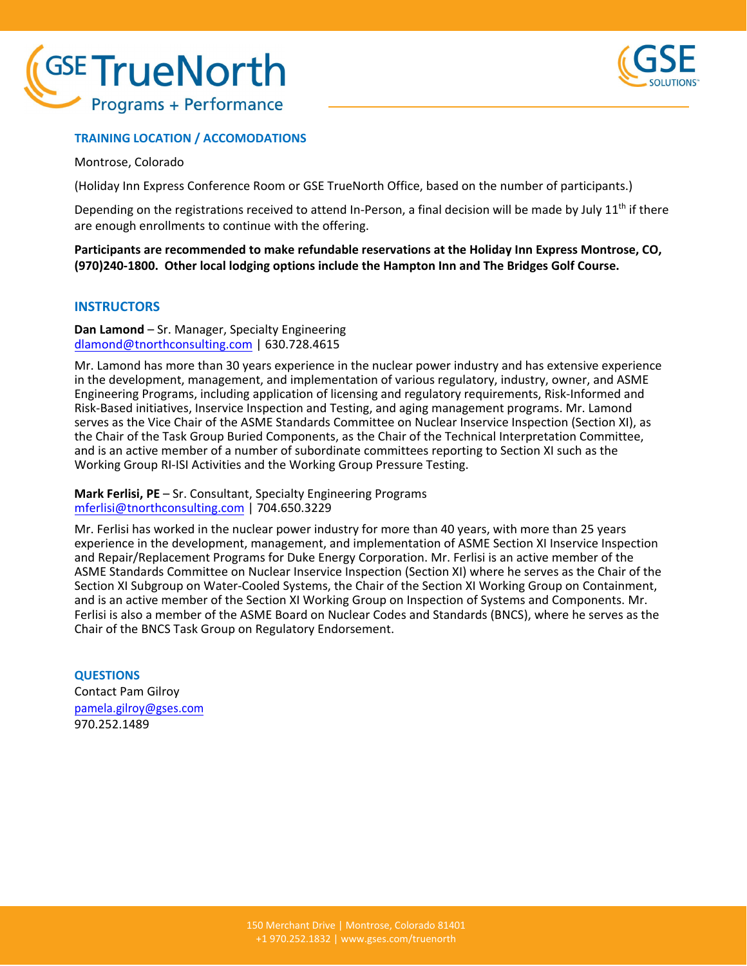



### **TRAINING LOCATION / ACCOMODATIONS**

Montrose, Colorado

(Holiday Inn Express Conference Room or GSE TrueNorth Office, based on the number of participants.)

Depending on the registrations received to attend In-Person, a final decision will be made by July  $11<sup>th</sup>$  if there are enough enrollments to continue with the offering.

**Participants are recommended to make refundable reservations at the Holiday Inn Express Montrose, CO,** (970)240-1800. Other local lodging options include the Hampton Inn and The Bridges Golf Course.

#### **INSTRUCTORS**

**Dan Lamond** – Sr. Manager, Specialty Engineering dlamond@tnorthconsulting.com | 630.728.4615

Mr. Lamond has more than 30 years experience in the nuclear power industry and has extensive experience in the development, management, and implementation of various regulatory, industry, owner, and ASME Engineering Programs, including application of licensing and regulatory requirements, Risk‐Informed and Risk‐Based initiatives, Inservice Inspection and Testing, and aging management programs. Mr. Lamond serves as the Vice Chair of the ASME Standards Committee on Nuclear Inservice Inspection (Section XI), as the Chair of the Task Group Buried Components, as the Chair of the Technical Interpretation Committee, and is an active member of a number of subordinate committees reporting to Section XI such as the Working Group RI‐ISI Activities and the Working Group Pressure Testing.

**Mark Ferlisi, PE** – Sr. Consultant, Specialty Engineering Programs mferlisi@tnorthconsulting.com | 704.650.3229

Mr. Ferlisi has worked in the nuclear power industry for more than 40 years, with more than 25 years experience in the development, management, and implementation of ASME Section XI Inservice Inspection and Repair/Replacement Programs for Duke Energy Corporation. Mr. Ferlisi is an active member of the ASME Standards Committee on Nuclear Inservice Inspection (Section XI) where he serves as the Chair of the Section XI Subgroup on Water‐Cooled Systems, the Chair of the Section XI Working Group on Containment, and is an active member of the Section XI Working Group on Inspection of Systems and Components. Mr. Ferlisi is also a member of the ASME Board on Nuclear Codes and Standards (BNCS), where he serves as the Chair of the BNCS Task Group on Regulatory Endorsement.

**QUESTIONS** Contact Pam Gilroy pamela.gilroy@gses.com 970.252.1489